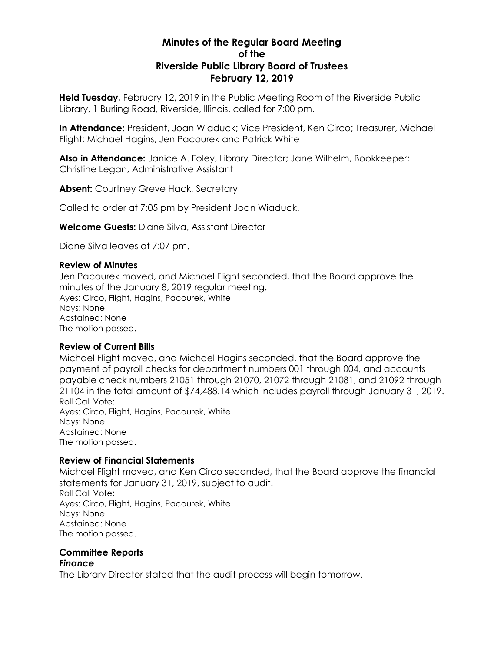# **Minutes of the Regular Board Meeting of the Riverside Public Library Board of Trustees February 12, 2019**

**Held Tuesday**, February 12, 2019 in the Public Meeting Room of the Riverside Public Library, 1 Burling Road, Riverside, Illinois, called for 7:00 pm.

**In Attendance:** President, Joan Wiaduck; Vice President, Ken Circo; Treasurer, Michael Flight; Michael Hagins, Jen Pacourek and Patrick White

**Also in Attendance:** Janice A. Foley, Library Director; Jane Wilhelm, Bookkeeper; Christine Legan, Administrative Assistant

**Absent:** Courtney Greve Hack, Secretary

Called to order at 7:05 pm by President Joan Wiaduck.

**Welcome Guests:** Diane Silva, Assistant Director

Diane Silva leaves at 7:07 pm.

### **Review of Minutes**

Jen Pacourek moved, and Michael Flight seconded, that the Board approve the minutes of the January 8, 2019 regular meeting. Ayes: Circo, Flight, Hagins, Pacourek, White Nays: None Abstained: None The motion passed.

## **Review of Current Bills**

Michael Flight moved, and Michael Hagins seconded, that the Board approve the payment of payroll checks for department numbers 001 through 004, and accounts payable check numbers 21051 through 21070, 21072 through 21081, and 21092 through 21104 in the total amount of \$74,488.14 which includes payroll through January 31, 2019. Roll Call Vote: Ayes: Circo, Flight, Hagins, Pacourek, White Nays: None Abstained: None The motion passed.

## **Review of Financial Statements**

Michael Flight moved, and Ken Circo seconded, that the Board approve the financial statements for January 31, 2019, subject to audit. Roll Call Vote: Ayes: Circo, Flight, Hagins, Pacourek, White Nays: None Abstained: None The motion passed.

### **Committee Reports** *Finance*

The Library Director stated that the audit process will begin tomorrow.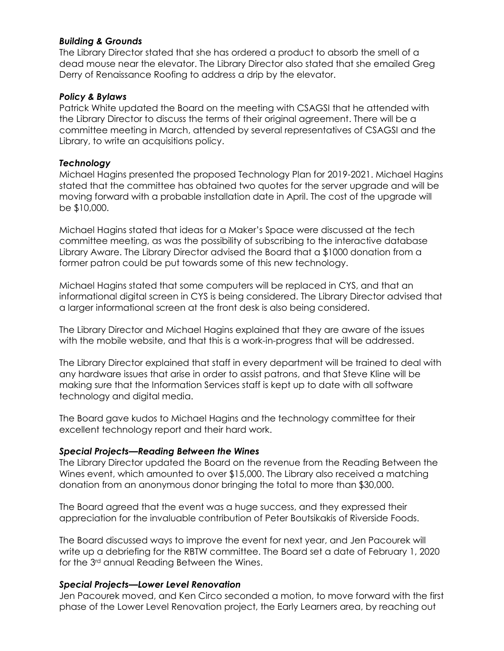## *Building & Grounds*

The Library Director stated that she has ordered a product to absorb the smell of a dead mouse near the elevator. The Library Director also stated that she emailed Greg Derry of Renaissance Roofing to address a drip by the elevator.

## *Policy & Bylaws*

Patrick White updated the Board on the meeting with CSAGSI that he attended with the Library Director to discuss the terms of their original agreement. There will be a committee meeting in March, attended by several representatives of CSAGSI and the Library, to write an acquisitions policy.

## *Technology*

Michael Hagins presented the proposed Technology Plan for 2019-2021. Michael Hagins stated that the committee has obtained two quotes for the server upgrade and will be moving forward with a probable installation date in April. The cost of the upgrade will be \$10,000.

Michael Hagins stated that ideas for a Maker's Space were discussed at the tech committee meeting, as was the possibility of subscribing to the interactive database Library Aware. The Library Director advised the Board that a \$1000 donation from a former patron could be put towards some of this new technology.

Michael Hagins stated that some computers will be replaced in CYS, and that an informational digital screen in CYS is being considered. The Library Director advised that a larger informational screen at the front desk is also being considered.

The Library Director and Michael Hagins explained that they are aware of the issues with the mobile website, and that this is a work-in-progress that will be addressed.

The Library Director explained that staff in every department will be trained to deal with any hardware issues that arise in order to assist patrons, and that Steve Kline will be making sure that the Information Services staff is kept up to date with all software technology and digital media.

The Board gave kudos to Michael Hagins and the technology committee for their excellent technology report and their hard work.

## *Special Projects—Reading Between the Wines*

The Library Director updated the Board on the revenue from the Reading Between the Wines event, which amounted to over \$15,000. The Library also received a matching donation from an anonymous donor bringing the total to more than \$30,000.

The Board agreed that the event was a huge success, and they expressed their appreciation for the invaluable contribution of Peter Boutsikakis of Riverside Foods.

The Board discussed ways to improve the event for next year, and Jen Pacourek will write up a debriefing for the RBTW committee. The Board set a date of February 1, 2020 for the 3rd annual Reading Between the Wines.

# *Special Projects—Lower Level Renovation*

Jen Pacourek moved, and Ken Circo seconded a motion, to move forward with the first phase of the Lower Level Renovation project, the Early Learners area, by reaching out